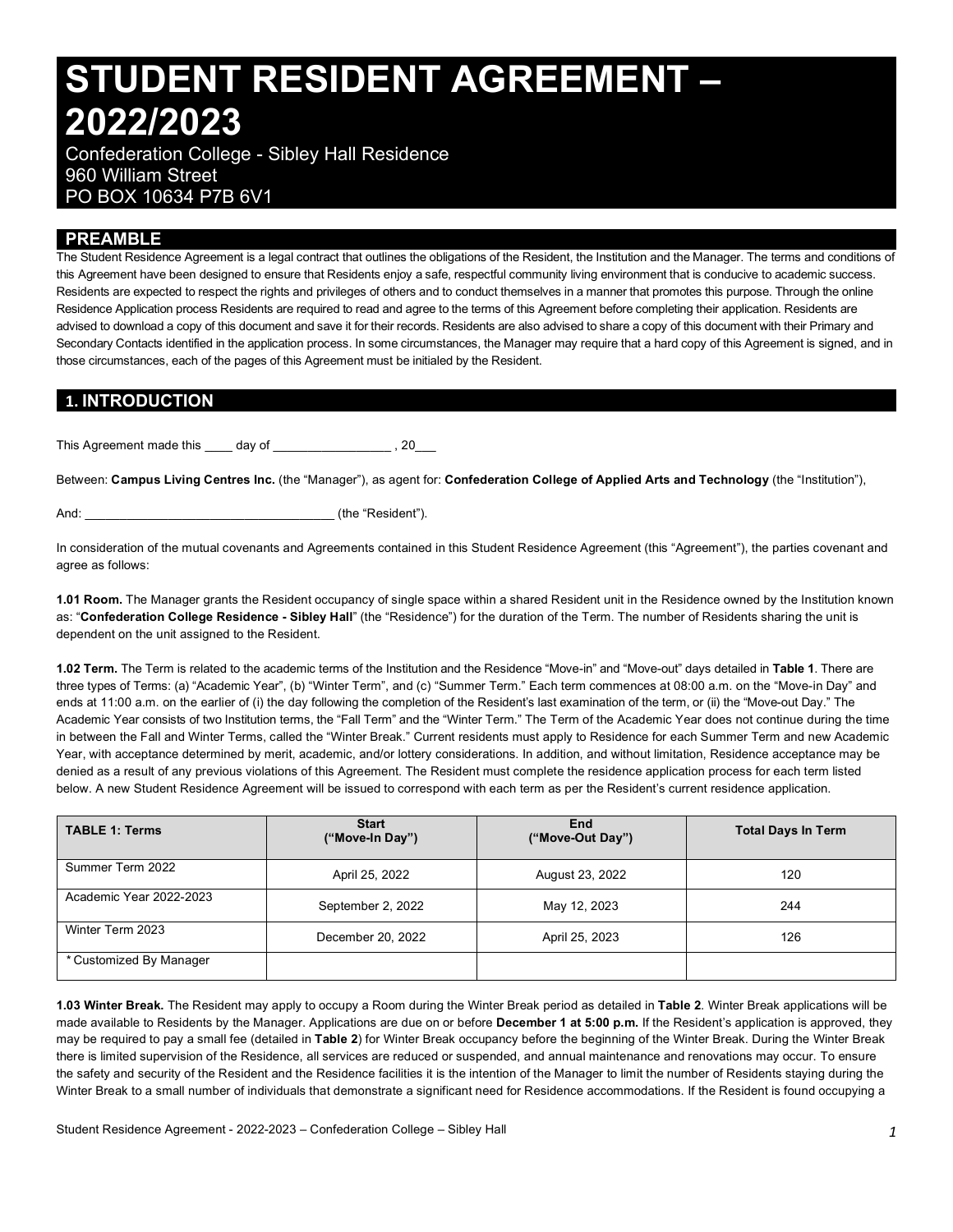# **STUDENT RESIDENT AGREEMENT – 2022/2023**

 Confederation College - Sibley Hall Residence 960 William Street PO BOX 10634 P7B 6V1

# **PREAMBLE**

 The Student Residence Agreement is a legal contract that outlines the obligations of the Resident, the Institution and the Manager. The terms and conditions of this Agreement have been designed to ensure that Residents enjoy a safe, respectful community living environment that is conducive to academic success. Residents are expected to respect the rights and privileges of others and to conduct themselves in a manner that promotes this purpose. Through the online Residence Application process Residents are required to read and agree to the terms of this Agreement before completing their application. Residents are advised to download a copy of this document and save it for their records. Residents are also advised to share a copy of this document with their Primary and Secondary Contacts identified in the application process. In some circumstances, the Manager may require that a hard copy of this Agreement is signed, and in those circumstances, each of the pages of this Agreement must be initialed by the Resident.

# **1. INTRODUCTION**

This Agreement made this day of **This Agreement** made this day of

 Between: **Campus Living Centres Inc.** (the "Manager"), as agent for: **Confederation College of Applied Arts and Technology** (the "Institution"),

And: \_\_\_\_\_\_\_\_\_\_\_\_\_\_\_\_\_\_\_\_\_\_\_\_\_\_\_\_\_\_\_\_\_\_\_\_ (the "Resident").

 In consideration of the mutual covenants and Agreements contained in this Student Residence Agreement (this "Agreement"), the parties covenant and agree as follows:

 **1.01 Room.** The Manager grants the Resident occupancy of single space within a shared Resident unit in the Residence owned by the Institution known  as: "**Confederation College Residence - Sibley Hall**" (the "Residence") for the duration of the Term. The number of Residents sharing the unit is dependent on the unit assigned to the Resident.

 **1.02 Term.** The Term is related to the academic terms of the Institution and the Residence "Move-in" and "Move-out" days detailed in **Table 1**. There are three types of Terms: (a) "Academic Year", (b) "Winter Term", and (c) "Summer Term." Each term commences at 08:00 a.m. on the "Move-in Day" and ends at 11:00 a.m. on the earlier of (i) the day following the completion of the Resident's last examination of the term, or (ii) the "Move-out Day." The Academic Year consists of two Institution terms, the "Fall Term" and the "Winter Term." The Term of the Academic Year does not continue during the time in between the Fall and Winter Terms, called the "Winter Break." Current residents must apply to Residence for each Summer Term and new Academic Year, with acceptance determined by merit, academic, and/or lottery considerations. In addition, and without limitation, Residence acceptance may be denied as a result of any previous violations of this Agreement. The Resident must complete the residence application process for each term listed below. A new Student Residence Agreement will be issued to correspond with each term as per the Resident's current residence application.

| <b>TABLE 1: Terms</b>   | <b>Start</b><br>("Move-In Day") | <b>End</b><br>("Move-Out Day") | <b>Total Days In Term</b> |  |
|-------------------------|---------------------------------|--------------------------------|---------------------------|--|
| Summer Term 2022        | April 25, 2022                  | August 23, 2022                | 120                       |  |
| Academic Year 2022-2023 | September 2, 2022               | May 12, 2023                   | 244                       |  |
| Winter Term 2023        | December 20, 2022               | April 25, 2023                 | 126                       |  |
| * Customized By Manager |                                 |                                |                           |  |

 **1.03 Winter Break.** The Resident may apply to occupy a Room during the Winter Break period as detailed in **Table 2**. Winter Break applications will be made available to Residents by the Manager. Applications are due on or before **December 1 at 5:00 p.m.** If the Resident's application is approved, they may be required to pay a small fee (detailed in **Table 2**) for Winter Break occupancy before the beginning of the Winter Break. During the Winter Break there is limited supervision of the Residence, all services are reduced or suspended, and annual maintenance and renovations may occur. To ensure the safety and security of the Resident and the Residence facilities it is the intention of the Manager to limit the number of Residents staying during the Winter Break to a small number of individuals that demonstrate a significant need for Residence accommodations. If the Resident is found occupying a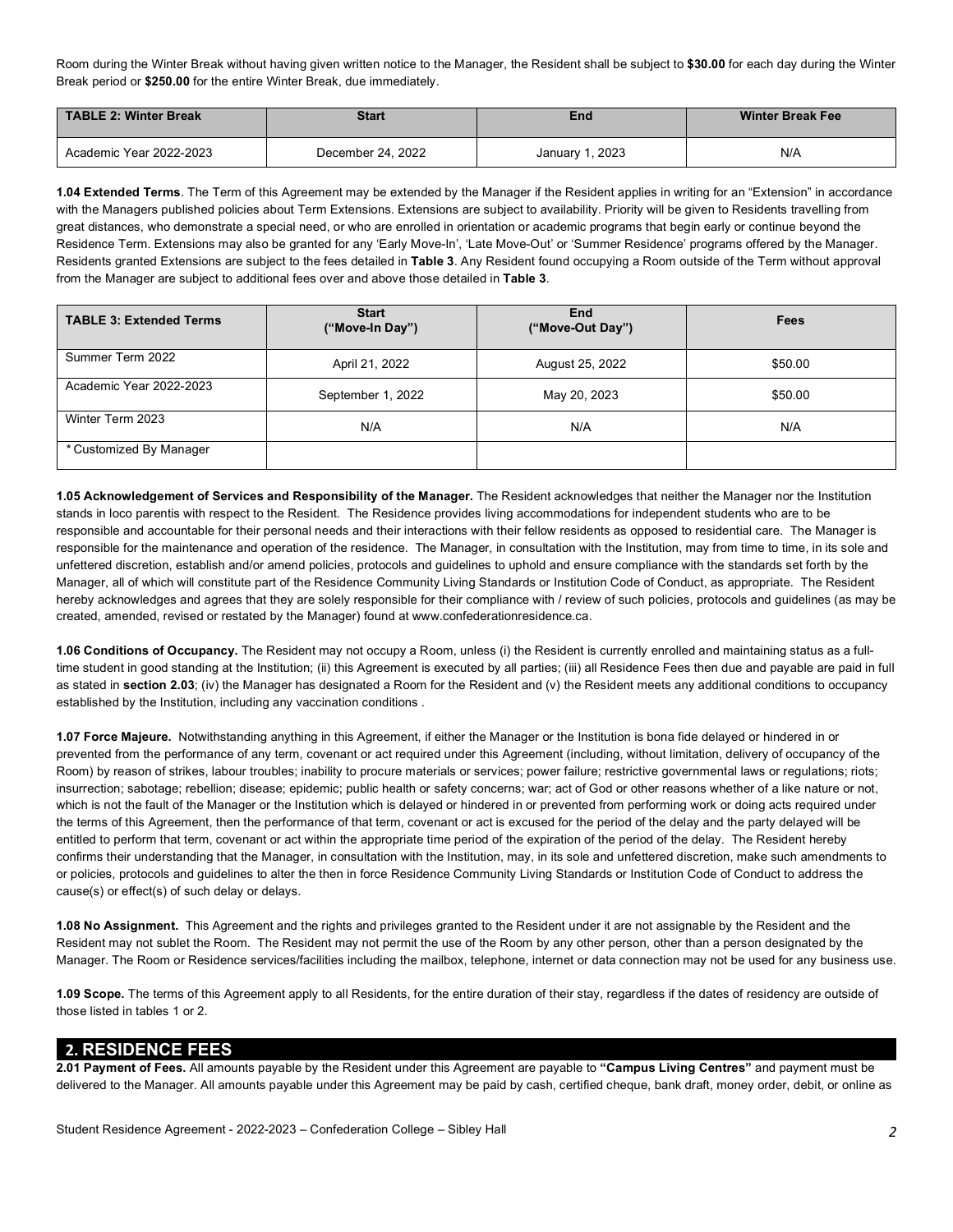Room during the Winter Break without having given written notice to the Manager, the Resident shall be subject to **\$30.00** for each day during the Winter Break period or **\$250.00** for the entire Winter Break, due immediately.

| TABLE 2: Winter Break   | <b>Start</b>      | End             | <b>Winter Break Fee</b> |  |
|-------------------------|-------------------|-----------------|-------------------------|--|
| Academic Year 2022-2023 | December 24, 2022 | January 1, 2023 | N/A                     |  |

 **1.04 Extended Terms**. The Term of this Agreement may be extended by the Manager if the Resident applies in writing for an "Extension" in accordance with the Managers published policies about Term Extensions. Extensions are subject to availability. Priority will be given to Residents travelling from great distances, who demonstrate a special need, or who are enrolled in orientation or academic programs that begin early or continue beyond the Residence Term. Extensions may also be granted for any 'Early Move-In', 'Late Move-Out' or 'Summer Residence' programs offered by the Manager. Residents granted Extensions are subject to the fees detailed in **Table 3**. Any Resident found occupying a Room outside of the Term without approval from the Manager are subject to additional fees over and above those detailed in **Table 3**.

| <b>TABLE 3: Extended Terms</b> | <b>Start</b><br>("Move-In Day") | <b>End</b><br>("Move-Out Day") | Fees    |  |
|--------------------------------|---------------------------------|--------------------------------|---------|--|
| Summer Term 2022               | April 21, 2022                  | August 25, 2022                | \$50.00 |  |
| Academic Year 2022-2023        | September 1, 2022               | May 20, 2023                   | \$50.00 |  |
| Winter Term 2023               | N/A                             | N/A                            | N/A     |  |
| * Customized By Manager        |                                 |                                |         |  |

 **1.05 Acknowledgement of Services and Responsibility of the Manager.** The Resident acknowledges that neither the Manager nor the Institution stands in loco parentis with respect to the Resident. The Residence provides living accommodations for independent students who are to be responsible and accountable for their personal needs and their interactions with their fellow residents as opposed to residential care. The Manager is responsible for the maintenance and operation of the residence. The Manager, in consultation with the Institution, may from time to time, in its sole and unfettered discretion, establish and/or amend policies, protocols and guidelines to uphold and ensure compliance with the standards set forth by the Manager, all of which will constitute part of the Residence Community Living Standards or Institution Code of Conduct, as appropriate. The Resident hereby acknowledges and agrees that they are solely responsible for their compliance with / review of such policies, protocols and guidelines (as may be created, amended, revised or restated by the Manager) found at<www.confederationresidence.ca>.

 **1.06 Conditions of Occupancy.** The Resident may not occupy a Room, unless (i) the Resident is currently enrolled and maintaining status as a full- time student in good standing at the Institution; (ii) this Agreement is executed by all parties; (iii) all Residence Fees then due and payable are paid in full as stated in **section 2.03**; (iv) the Manager has designated a Room for the Resident and (v) the Resident meets any additional conditions to occupancy established by the Institution, including any vaccination conditions .

 **1.07 Force Majeure.** Notwithstanding anything in this Agreement, if either the Manager or the Institution is bona fide delayed or hindered in or prevented from the performance of any term, covenant or act required under this Agreement (including, without limitation, delivery of occupancy of the Room) by reason of strikes, labour troubles; inability to procure materials or services; power failure; restrictive governmental laws or regulations; riots; insurrection; sabotage; rebellion; disease; epidemic; public health or safety concerns; war; act of God or other reasons whether of a like nature or not, which is not the fault of the Manager or the Institution which is delayed or hindered in or prevented from performing work or doing acts required under the terms of this Agreement, then the performance of that term, covenant or act is excused for the period of the delay and the party delayed will be entitled to perform that term, covenant or act within the appropriate time period of the expiration of the period of the delay. The Resident hereby confirms their understanding that the Manager, in consultation with the Institution, may, in its sole and unfettered discretion, make such amendments to or policies, protocols and guidelines to alter the then in force Residence Community Living Standards or Institution Code of Conduct to address the cause(s) or effect(s) of such delay or delays.

 **1.08 No Assignment.** This Agreement and the rights and privileges granted to the Resident under it are not assignable by the Resident and the Resident may not sublet the Room. The Resident may not permit the use of the Room by any other person, other than a person designated by the Manager. The Room or Residence services/facilities including the mailbox, telephone, internet or data connection may not be used for any business use.

 **1.09 Scope.** The terms of this Agreement apply to all Residents, for the entire duration of their stay, regardless if the dates of residency are outside of those listed in tables 1 or 2.

#### **2. RESIDENCE FEES**

 **2.01 Payment of Fees.** All amounts payable by the Resident under this Agreement are payable to **"Campus Living Centres"** and payment must be delivered to the Manager. All amounts payable under this Agreement may be paid by cash, certified cheque, bank draft, money order, debit, or online as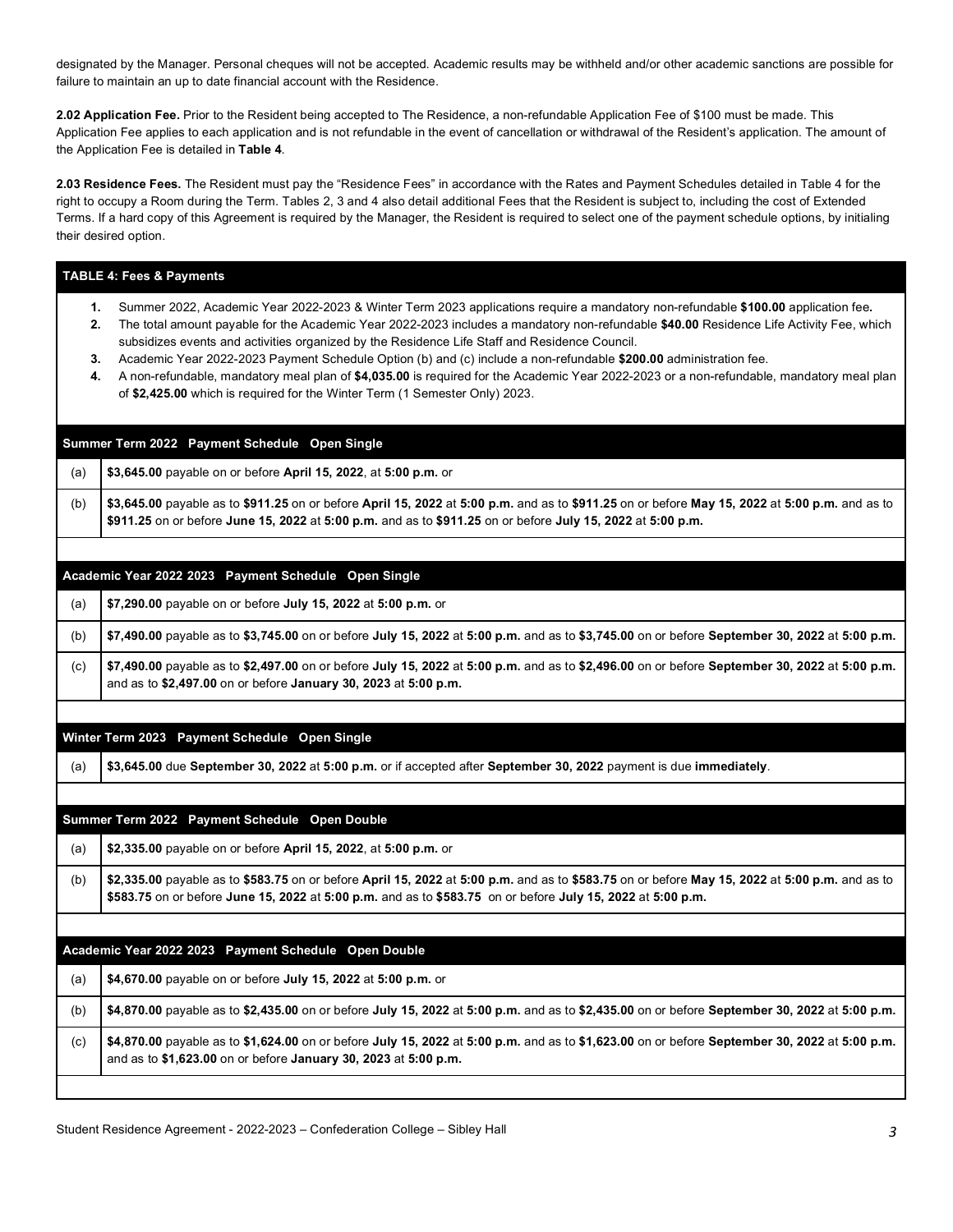designated by the Manager. Personal cheques will not be accepted. Academic results may be withheld and/or other academic sanctions are possible for failure to maintain an up to date financial account with the Residence.

 **2.02 Application Fee.** Prior to the Resident being accepted to The Residence, a non-refundable Application Fee of \$100 must be made. This Application Fee applies to each application and is not refundable in the event of cancellation or withdrawal of the Resident's application. The amount of the Application Fee is detailed in **Table 4**.

 **2.03 Residence Fees.** The Resident must pay the "Residence Fees" in accordance with the Rates and Payment Schedules detailed in Table 4 for the right to occupy a Room during the Term. Tables 2, 3 and 4 also detail additional Fees that the Resident is subject to, including the cost of Extended Terms. If a hard copy of this Agreement is required by the Manager, the Resident is required to select one of the payment schedule options, by initialing their desired option.

|                      | <b>TABLE 4: Fees &amp; Payments</b>                                                                                                                                                                                                                                                                                                                                                                                                                                                                                                                                                                                                                                                                                           |
|----------------------|-------------------------------------------------------------------------------------------------------------------------------------------------------------------------------------------------------------------------------------------------------------------------------------------------------------------------------------------------------------------------------------------------------------------------------------------------------------------------------------------------------------------------------------------------------------------------------------------------------------------------------------------------------------------------------------------------------------------------------|
| 1.<br>2.<br>3.<br>4. | Summer 2022, Academic Year 2022-2023 & Winter Term 2023 applications require a mandatory non-refundable \$100.00 application fee.<br>The total amount payable for the Academic Year 2022-2023 includes a mandatory non-refundable \$40.00 Residence Life Activity Fee, which<br>subsidizes events and activities organized by the Residence Life Staff and Residence Council.<br>Academic Year 2022-2023 Payment Schedule Option (b) and (c) include a non-refundable \$200.00 administration fee.<br>A non-refundable, mandatory meal plan of \$4,035.00 is required for the Academic Year 2022-2023 or a non-refundable, mandatory meal plan<br>of \$2,425.00 which is required for the Winter Term (1 Semester Only) 2023. |
|                      | Summer Term 2022 Payment Schedule Open Single                                                                                                                                                                                                                                                                                                                                                                                                                                                                                                                                                                                                                                                                                 |
| (a)                  | \$3,645.00 payable on or before April 15, 2022, at 5:00 p.m. or                                                                                                                                                                                                                                                                                                                                                                                                                                                                                                                                                                                                                                                               |
| (b)                  | \$3,645.00 payable as to \$911.25 on or before April 15, 2022 at 5:00 p.m. and as to \$911.25 on or before May 15, 2022 at 5:00 p.m. and as to<br>\$911.25 on or before June 15, 2022 at 5:00 p.m. and as to \$911.25 on or before July 15, 2022 at 5:00 p.m.                                                                                                                                                                                                                                                                                                                                                                                                                                                                 |
|                      |                                                                                                                                                                                                                                                                                                                                                                                                                                                                                                                                                                                                                                                                                                                               |
|                      | Academic Year 2022 2023 Payment Schedule Open Single                                                                                                                                                                                                                                                                                                                                                                                                                                                                                                                                                                                                                                                                          |
| (a)                  | \$7,290.00 payable on or before July 15, 2022 at 5:00 p.m. or                                                                                                                                                                                                                                                                                                                                                                                                                                                                                                                                                                                                                                                                 |
| (b)                  | \$7,490.00 payable as to \$3,745.00 on or before July 15, 2022 at 5:00 p.m. and as to \$3,745.00 on or before September 30, 2022 at 5:00 p.m.                                                                                                                                                                                                                                                                                                                                                                                                                                                                                                                                                                                 |
| (c)                  | \$7,490.00 payable as to \$2,497.00 on or before July 15, 2022 at 5:00 p.m. and as to \$2,496.00 on or before September 30, 2022 at 5:00 p.m.<br>and as to \$2,497.00 on or before January 30, 2023 at 5:00 p.m.                                                                                                                                                                                                                                                                                                                                                                                                                                                                                                              |
|                      | Winter Term 2023 Payment Schedule Open Single                                                                                                                                                                                                                                                                                                                                                                                                                                                                                                                                                                                                                                                                                 |
| (a)                  | \$3,645.00 due September 30, 2022 at 5:00 p.m. or if accepted after September 30, 2022 payment is due immediately.                                                                                                                                                                                                                                                                                                                                                                                                                                                                                                                                                                                                            |
|                      |                                                                                                                                                                                                                                                                                                                                                                                                                                                                                                                                                                                                                                                                                                                               |
|                      | Summer Term 2022 Payment Schedule Open Double                                                                                                                                                                                                                                                                                                                                                                                                                                                                                                                                                                                                                                                                                 |
| (a)                  | \$2,335.00 payable on or before April 15, 2022, at 5:00 p.m. or                                                                                                                                                                                                                                                                                                                                                                                                                                                                                                                                                                                                                                                               |
| (b)                  | \$2,335.00 payable as to \$583.75 on or before April 15, 2022 at 5:00 p.m. and as to \$583.75 on or before May 15, 2022 at 5:00 p.m. and as to<br>\$583.75 on or before June 15, 2022 at 5:00 p.m. and as to \$583.75 on or before July 15, 2022 at 5:00 p.m.                                                                                                                                                                                                                                                                                                                                                                                                                                                                 |
|                      |                                                                                                                                                                                                                                                                                                                                                                                                                                                                                                                                                                                                                                                                                                                               |
|                      | Academic Year 2022 2023 Payment Schedule Open Double                                                                                                                                                                                                                                                                                                                                                                                                                                                                                                                                                                                                                                                                          |
| (a)                  | \$4,670.00 payable on or before July 15, 2022 at 5:00 p.m. or                                                                                                                                                                                                                                                                                                                                                                                                                                                                                                                                                                                                                                                                 |
| (b)                  | \$4,870.00 payable as to \$2,435.00 on or before July 15, 2022 at 5:00 p.m. and as to \$2,435.00 on or before September 30, 2022 at 5:00 p.m.                                                                                                                                                                                                                                                                                                                                                                                                                                                                                                                                                                                 |
| (c)                  | \$4,870.00 payable as to \$1,624.00 on or before July 15, 2022 at 5:00 p.m. and as to \$1,623.00 on or before September 30, 2022 at 5:00 p.m.<br>and as to \$1,623.00 on or before January 30, 2023 at 5:00 p.m.                                                                                                                                                                                                                                                                                                                                                                                                                                                                                                              |
|                      |                                                                                                                                                                                                                                                                                                                                                                                                                                                                                                                                                                                                                                                                                                                               |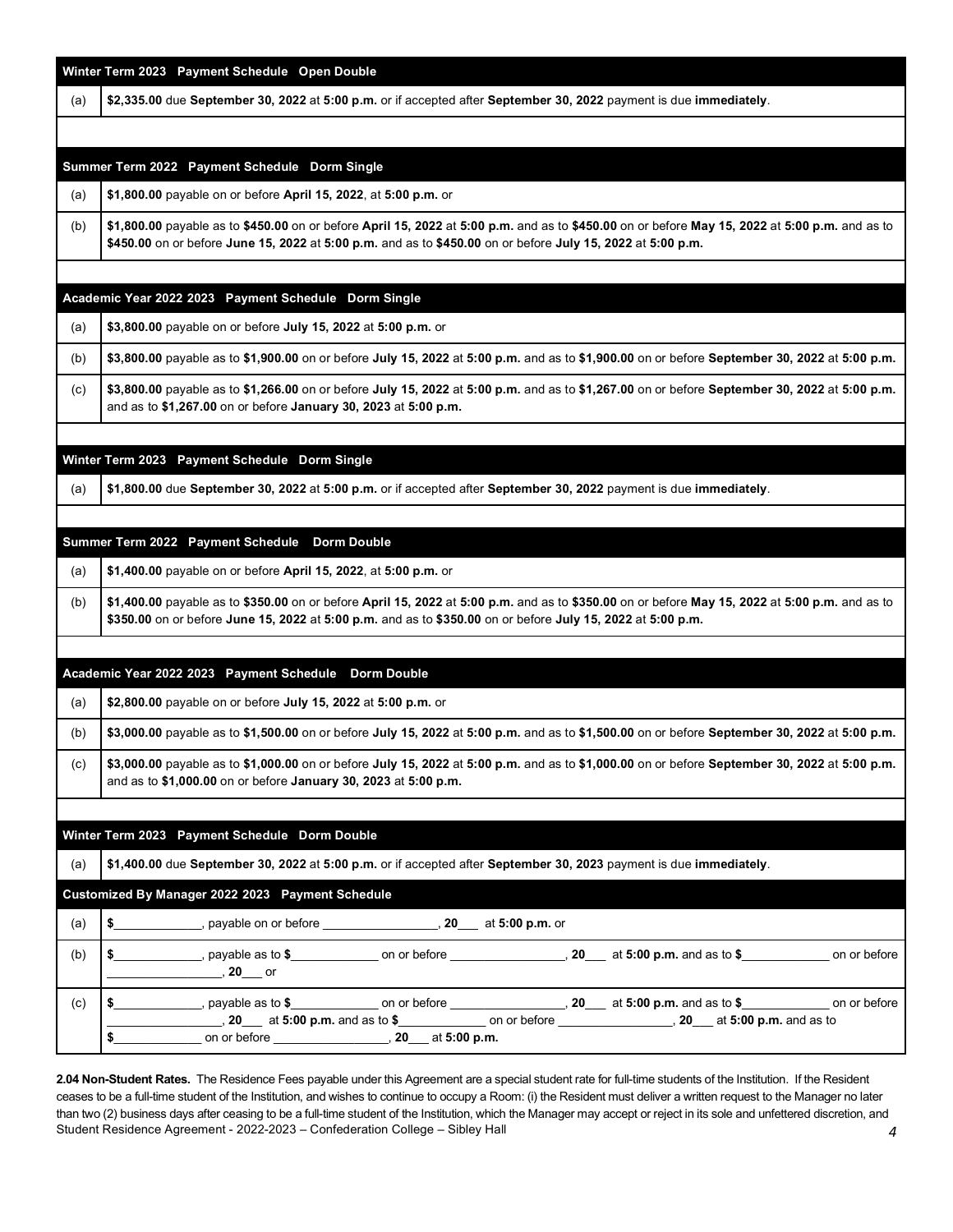|     | Winter Term 2023 Payment Schedule Open Double                                                                                                                                                                                                                                  |
|-----|--------------------------------------------------------------------------------------------------------------------------------------------------------------------------------------------------------------------------------------------------------------------------------|
| (a) | \$2,335.00 due September 30, 2022 at 5:00 p.m. or if accepted after September 30, 2022 payment is due immediately.                                                                                                                                                             |
|     |                                                                                                                                                                                                                                                                                |
|     | Summer Term 2022 Payment Schedule Dorm Single                                                                                                                                                                                                                                  |
| (a) | \$1,800.00 payable on or before April 15, 2022, at 5:00 p.m. or                                                                                                                                                                                                                |
| (b) | \$1,800.00 payable as to \$450.00 on or before April 15, 2022 at 5:00 p.m. and as to \$450.00 on or before May 15, 2022 at 5:00 p.m. and as to<br>\$450.00 on or before June 15, 2022 at 5:00 p.m. and as to \$450.00 on or before July 15, 2022 at 5:00 p.m.                  |
|     |                                                                                                                                                                                                                                                                                |
| (a) | Academic Year 2022 2023 Payment Schedule Dorm Single<br>\$3,800.00 payable on or before July 15, 2022 at 5:00 p.m. or                                                                                                                                                          |
| (b) | \$3,800.00 payable as to \$1,900.00 on or before July 15, 2022 at 5:00 p.m. and as to \$1,900.00 on or before September 30, 2022 at 5:00 p.m.                                                                                                                                  |
| (c) | \$3,800.00 payable as to \$1,266.00 on or before July 15, 2022 at 5:00 p.m. and as to \$1,267.00 on or before September 30, 2022 at 5:00 p.m.<br>and as to \$1,267.00 on or before January 30, 2023 at 5:00 p.m.                                                               |
|     |                                                                                                                                                                                                                                                                                |
|     | Winter Term 2023 Payment Schedule Dorm Single                                                                                                                                                                                                                                  |
| (a) | \$1,800.00 due September 30, 2022 at 5:00 p.m. or if accepted after September 30, 2022 payment is due immediately.                                                                                                                                                             |
|     | Summer Term 2022 Payment Schedule Dorm Double                                                                                                                                                                                                                                  |
| (a) | \$1,400.00 payable on or before April 15, 2022, at 5:00 p.m. or                                                                                                                                                                                                                |
| (b) | \$1,400.00 payable as to \$350.00 on or before April 15, 2022 at 5:00 p.m. and as to \$350.00 on or before May 15, 2022 at 5:00 p.m. and as to<br>\$350.00 on or before June 15, 2022 at 5:00 p.m. and as to \$350.00 on or before July 15, 2022 at 5:00 p.m.                  |
|     |                                                                                                                                                                                                                                                                                |
|     | Academic Year 2022 2023 Payment Schedule Dorm Double                                                                                                                                                                                                                           |
| (a) | \$2,800.00 payable on or before July 15, 2022 at 5:00 p.m. or                                                                                                                                                                                                                  |
| (b) | \$3,000.00 payable as to \$1,500.00 on or before July 15, 2022 at 5:00 p.m. and as to \$1,500.00 on or before September 30, 2022 at 5:00 p.m.                                                                                                                                  |
| (c) | \$3,000.00 payable as to \$1,000.00 on or before July 15, 2022 at 5:00 p.m. and as to \$1,000.00 on or before September 30, 2022 at 5:00 p.m.<br>and as to \$1,000.00 on or before January 30, 2023 at 5:00 p.m.                                                               |
|     |                                                                                                                                                                                                                                                                                |
|     | Winter Term 2023 Payment Schedule Dorm Double                                                                                                                                                                                                                                  |
| (a) | \$1,400.00 due September 30, 2022 at 5:00 p.m. or if accepted after September 30, 2023 payment is due immediately.                                                                                                                                                             |
|     | Customized By Manager 2022 2023 Payment Schedule<br>\$ , payable on or before , 20 at 5:00 p.m. or                                                                                                                                                                             |
| (a) |                                                                                                                                                                                                                                                                                |
| (b) | $\frac{20}{100}$ and $\frac{20}{100}$ p.m. and as to $\frac{20}{100}$ p.m. and as to $\frac{20}{100}$ at 5:00 p.m. and as to $\frac{20}{100}$<br>on or before                                                                                                                  |
| (c) | \$ ______________, payable as to \$_______________ on or before _________________, 20____ at 5:00 p.m. and as to \$______________ on or before<br>____________, 20____ at 5:00 p.m. and as to \$______________ on or before ______________, 20___ at 5:00 p.m. and as to<br>\$ |
|     |                                                                                                                                                                                                                                                                                |

 Student Residence Agreement - 2022-2023 – Confederation College – Sibley Hall *4*  **2.04 Non-Student Rates.** The Residence Fees payable under this Agreement are a special student rate for full-time students of the Institution. If the Resident ceases to be a full-time student of the Institution, and wishes to continue to occupy a Room: (i) the Resident must deliver a written request to the Manager no later than two (2) business days after ceasing to be a full-time student of the Institution, which the Manager may accept or reject in its sole and unfettered discretion, and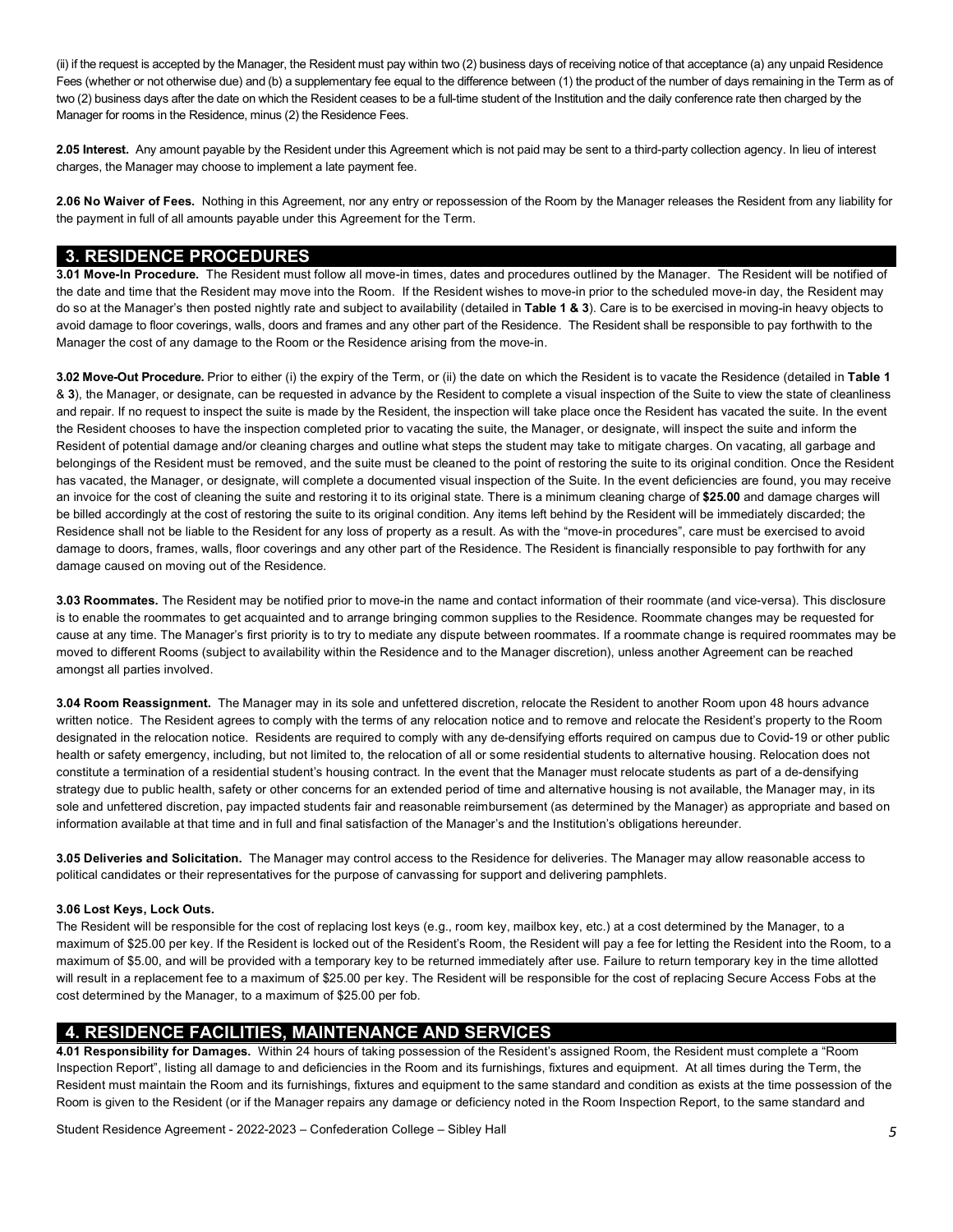(ii) if the request is accepted by the Manager, the Resident must pay within two (2) business days of receiving notice of that acceptance (a) any unpaid Residence Fees (whether or not otherwise due) and (b) a supplementary fee equal to the difference between (1) the product of the number of days remaining in the Term as of Manager for rooms in the Residence, minus (2) the Residence Fees. two (2) business days after the date on which the Resident ceases to be a full-time student of the Institution and the daily conference rate then charged by the

 **2.05 Interest.** Any amount payable by the Resident under this Agreement which is not paid may be sent to a third-party collection agency. In lieu of interest charges, the Manager may choose to implement a late payment fee.

 **2.06 No Waiver of Fees.** Nothing in this Agreement, nor any entry or repossession of the Room by the Manager releases the Resident from any liability for the payment in full of all amounts payable under this Agreement for the Term.

### **3. RESIDENCE PROCEDURES**

 **3.01 Move-In Procedure.** The Resident must follow all move-in times, dates and procedures outlined by the Manager. The Resident will be notified of the date and time that the Resident may move into the Room. If the Resident wishes to move-in prior to the scheduled move-in day, the Resident may do so at the Manager's then posted nightly rate and subject to availability (detailed in **Table 1 & 3**). Care is to be exercised in moving-in heavy objects to avoid damage to floor coverings, walls, doors and frames and any other part of the Residence. The Resident shall be responsible to pay forthwith to the Manager the cost of any damage to the Room or the Residence arising from the move-in.

 **3.02 Move-Out Procedure.** Prior to either (i) the expiry of the Term, or (ii) the date on which the Resident is to vacate the Residence (detailed in **Table 1**  & **3**), the Manager, or designate, can be requested in advance by the Resident to complete a visual inspection of the Suite to view the state of cleanliness and repair. If no request to inspect the suite is made by the Resident, the inspection will take place once the Resident has vacated the suite. In the event the Resident chooses to have the inspection completed prior to vacating the suite, the Manager, or designate, will inspect the suite and inform the Resident of potential damage and/or cleaning charges and outline what steps the student may take to mitigate charges. On vacating, all garbage and belongings of the Resident must be removed, and the suite must be cleaned to the point of restoring the suite to its original condition. Once the Resident has vacated, the Manager, or designate, will complete a documented visual inspection of the Suite. In the event deficiencies are found, you may receive an invoice for the cost of cleaning the suite and restoring it to its original state. There is a minimum cleaning charge of **\$25.00** and damage charges will be billed accordingly at the cost of restoring the suite to its original condition. Any items left behind by the Resident will be immediately discarded; the Residence shall not be liable to the Resident for any loss of property as a result. As with the "move-in procedures", care must be exercised to avoid damage to doors, frames, walls, floor coverings and any other part of the Residence. The Resident is financially responsible to pay forthwith for any damage caused on moving out of the Residence.

 **3.03 Roommates.** The Resident may be notified prior to move-in the name and contact information of their roommate (and vice-versa). This disclosure is to enable the roommates to get acquainted and to arrange bringing common supplies to the Residence. Roommate changes may be requested for cause at any time. The Manager's first priority is to try to mediate any dispute between roommates. If a roommate change is required roommates may be moved to different Rooms (subject to availability within the Residence and to the Manager discretion), unless another Agreement can be reached amongst all parties involved.

 **3.04 Room Reassignment.** The Manager may in its sole and unfettered discretion, relocate the Resident to another Room upon 48 hours advance written notice. The Resident agrees to comply with the terms of any relocation notice and to remove and relocate the Resident's property to the Room designated in the relocation notice. Residents are required to comply with any de-densifying efforts required on campus due to Covid-19 or other public health or safety emergency, including, but not limited to, the relocation of all or some residential students to alternative housing. Relocation does not constitute a termination of a residential student's housing contract. In the event that the Manager must relocate students as part of a de-densifying strategy due to public health, safety or other concerns for an extended period of time and alternative housing is not available, the Manager may, in its sole and unfettered discretion, pay impacted students fair and reasonable reimbursement (as determined by the Manager) as appropriate and based on information available at that time and in full and final satisfaction of the Manager's and the Institution's obligations hereunder.

 **3.05 Deliveries and Solicitation.** The Manager may control access to the Residence for deliveries. The Manager may allow reasonable access to political candidates or their representatives for the purpose of canvassing for support and delivering pamphlets.

#### **3.06 Lost Keys, Lock Outs.**

 The Resident will be responsible for the cost of replacing lost keys (e.g., room key, mailbox key, etc.) at a cost determined by the Manager, to a maximum of \$25.00 per key. If the Resident is locked out of the Resident's Room, the Resident will pay a fee for letting the Resident into the Room, to a maximum of \$5.00, and will be provided with a temporary key to be returned immediately after use. Failure to return temporary key in the time allotted will result in a replacement fee to a maximum of \$25.00 per key. The Resident will be responsible for the cost of replacing Secure Access Fobs at the cost determined by the Manager, to a maximum of \$25.00 per fob.

# **4. RESIDENCE FACILITIES, MAINTENANCE AND SERVICES**

 Inspection Report", listing all damage to and deficiencies in the Room and its furnishings, fixtures and equipment. At all times during the Term, the Resident must maintain the Room and its furnishings, fixtures and equipment to the same standard and condition as exists at the time possession of the Room is given to the Resident (or if the Manager repairs any damage or deficiency noted in the Room Inspection Report, to the same standard and **4.01 Responsibility for Damages.** Within 24 hours of taking possession of the Resident's assigned Room, the Resident must complete a "Room

Student Residence Agreement - 2022-2023 – Confederation College – Sibley Hall *5*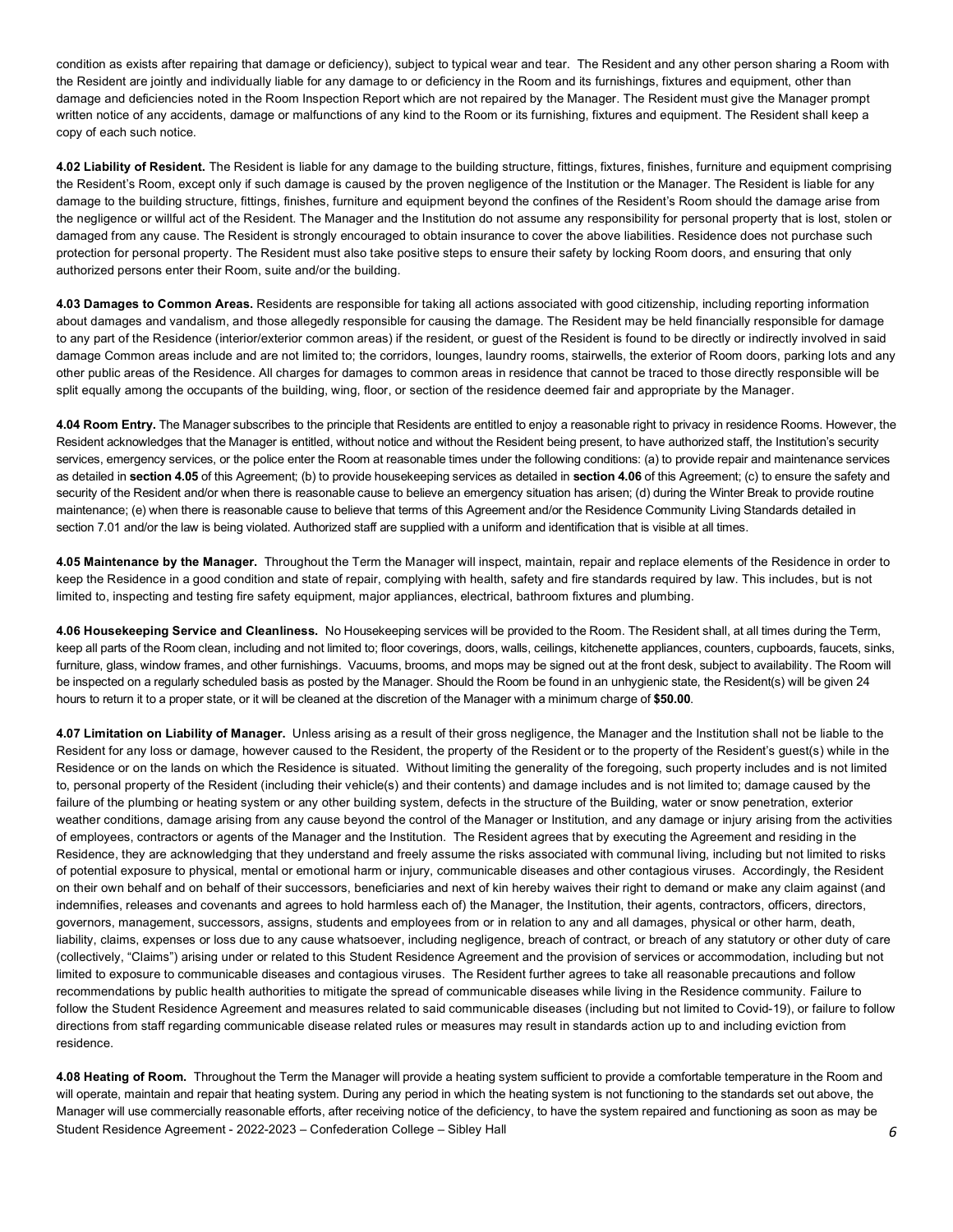condition as exists after repairing that damage or deficiency), subject to typical wear and tear. The Resident and any other person sharing a Room with the Resident are jointly and individually liable for any damage to or deficiency in the Room and its furnishings, fixtures and equipment, other than damage and deficiencies noted in the Room Inspection Report which are not repaired by the Manager. The Resident must give the Manager prompt written notice of any accidents, damage or malfunctions of any kind to the Room or its furnishing, fixtures and equipment. The Resident shall keep a copy of each such notice.

 **4.02 Liability of Resident.** The Resident is liable for any damage to the building structure, fittings, fixtures, finishes, furniture and equipment comprising the Resident's Room, except only if such damage is caused by the proven negligence of the Institution or the Manager. The Resident is liable for any damage to the building structure, fittings, finishes, furniture and equipment beyond the confines of the Resident's Room should the damage arise from the negligence or willful act of the Resident. The Manager and the Institution do not assume any responsibility for personal property that is lost, stolen or damaged from any cause. The Resident is strongly encouraged to obtain insurance to cover the above liabilities. Residence does not purchase such protection for personal property. The Resident must also take positive steps to ensure their safety by locking Room doors, and ensuring that only authorized persons enter their Room, suite and/or the building.

 **4.03 Damages to Common Areas.** Residents are responsible for taking all actions associated with good citizenship, including reporting information about damages and vandalism, and those allegedly responsible for causing the damage. The Resident may be held financially responsible for damage to any part of the Residence (interior/exterior common areas) if the resident, or guest of the Resident is found to be directly or indirectly involved in said damage Common areas include and are not limited to; the corridors, lounges, laundry rooms, stairwells, the exterior of Room doors, parking lots and any other public areas of the Residence. All charges for damages to common areas in residence that cannot be traced to those directly responsible will be split equally among the occupants of the building, wing, floor, or section of the residence deemed fair and appropriate by the Manager.

 **4.04 Room Entry.** The Manager subscribes to the principle that Residents are entitled to enjoy a reasonable right to privacy in residence Rooms. However, the Resident acknowledges that the Manager is entitled, without notice and without the Resident being present, to have authorized staff, the Institution's security services, emergency services, or the police enter the Room at reasonable times under the following conditions: (a) to provide repair and maintenance services as detailed in **section 4.05** of this Agreement; (b) to provide housekeeping services as detailed in **section 4.06** of this Agreement; (c) to ensure the safety and security of the Resident and/or when there is reasonable cause to believe an emergency situation has arisen; (d) during the Winter Break to provide routine maintenance; (e) when there is reasonable cause to believe that terms of this Agreement and/or the Residence Community Living Standards detailed in section 7.01 and/or the law is being violated. Authorized staff are supplied with a uniform and identification that is visible at all times.

 **4.05 Maintenance by the Manager.** Throughout the Term the Manager will inspect, maintain, repair and replace elements of the Residence in order to keep the Residence in a good condition and state of repair, complying with health, safety and fire standards required by law. This includes, but is not limited to, inspecting and testing fire safety equipment, major appliances, electrical, bathroom fixtures and plumbing.

 **4.06 Housekeeping Service and Cleanliness.** No Housekeeping services will be provided to the Room. The Resident shall, at all times during the Term, keep all parts of the Room clean, including and not limited to; floor coverings, doors, walls, ceilings, kitchenette appliances, counters, cupboards, faucets, sinks, furniture, glass, window frames, and other furnishings. Vacuums, brooms, and mops may be signed out at the front desk, subject to availability. The Room will be inspected on a regularly scheduled basis as posted by the Manager. Should the Room be found in an unhygienic state, the Resident(s) will be given 24 hours to return it to a proper state, or it will be cleaned at the discretion of the Manager with a minimum charge of **\$50.00**.

 **4.07 Limitation on Liability of Manager.** Unless arising as a result of their gross negligence, the Manager and the Institution shall not be liable to the Resident for any loss or damage, however caused to the Resident, the property of the Resident or to the property of the Resident's guest(s) while in the Residence or on the lands on which the Residence is situated. Without limiting the generality of the foregoing, such property includes and is not limited to, personal property of the Resident (including their vehicle(s) and their contents) and damage includes and is not limited to; damage caused by the failure of the plumbing or heating system or any other building system, defects in the structure of the Building, water or snow penetration, exterior weather conditions, damage arising from any cause beyond the control of the Manager or Institution, and any damage or injury arising from the activities of employees, contractors or agents of the Manager and the Institution. The Resident agrees that by executing the Agreement and residing in the Residence, they are acknowledging that they understand and freely assume the risks associated with communal living, including but not limited to risks of potential exposure to physical, mental or emotional harm or injury, communicable diseases and other contagious viruses. Accordingly, the Resident on their own behalf and on behalf of their successors, beneficiaries and next of kin hereby waives their right to demand or make any claim against (and indemnifies, releases and covenants and agrees to hold harmless each of) the Manager, the Institution, their agents, contractors, officers, directors, governors, management, successors, assigns, students and employees from or in relation to any and all damages, physical or other harm, death, liability, claims, expenses or loss due to any cause whatsoever, including negligence, breach of contract, or breach of any statutory or other duty of care (collectively, "Claims") arising under or related to this Student Residence Agreement and the provision of services or accommodation, including but not limited to exposure to communicable diseases and contagious viruses. The Resident further agrees to take all reasonable precautions and follow recommendations by public health authorities to mitigate the spread of communicable diseases while living in the Residence community. Failure to follow the Student Residence Agreement and measures related to said communicable diseases (including but not limited to Covid-19), or failure to follow directions from staff regarding communicable disease related rules or measures may result in standards action up to and including eviction from residence.

 Student Residence Agreement - 2022-2023 – Confederation College – Sibley Hall *6*  **4.08 Heating of Room.** Throughout the Term the Manager will provide a heating system sufficient to provide a comfortable temperature in the Room and will operate, maintain and repair that heating system. During any period in which the heating system is not functioning to the standards set out above, the Manager will use commercially reasonable efforts, after receiving notice of the deficiency, to have the system repaired and functioning as soon as may be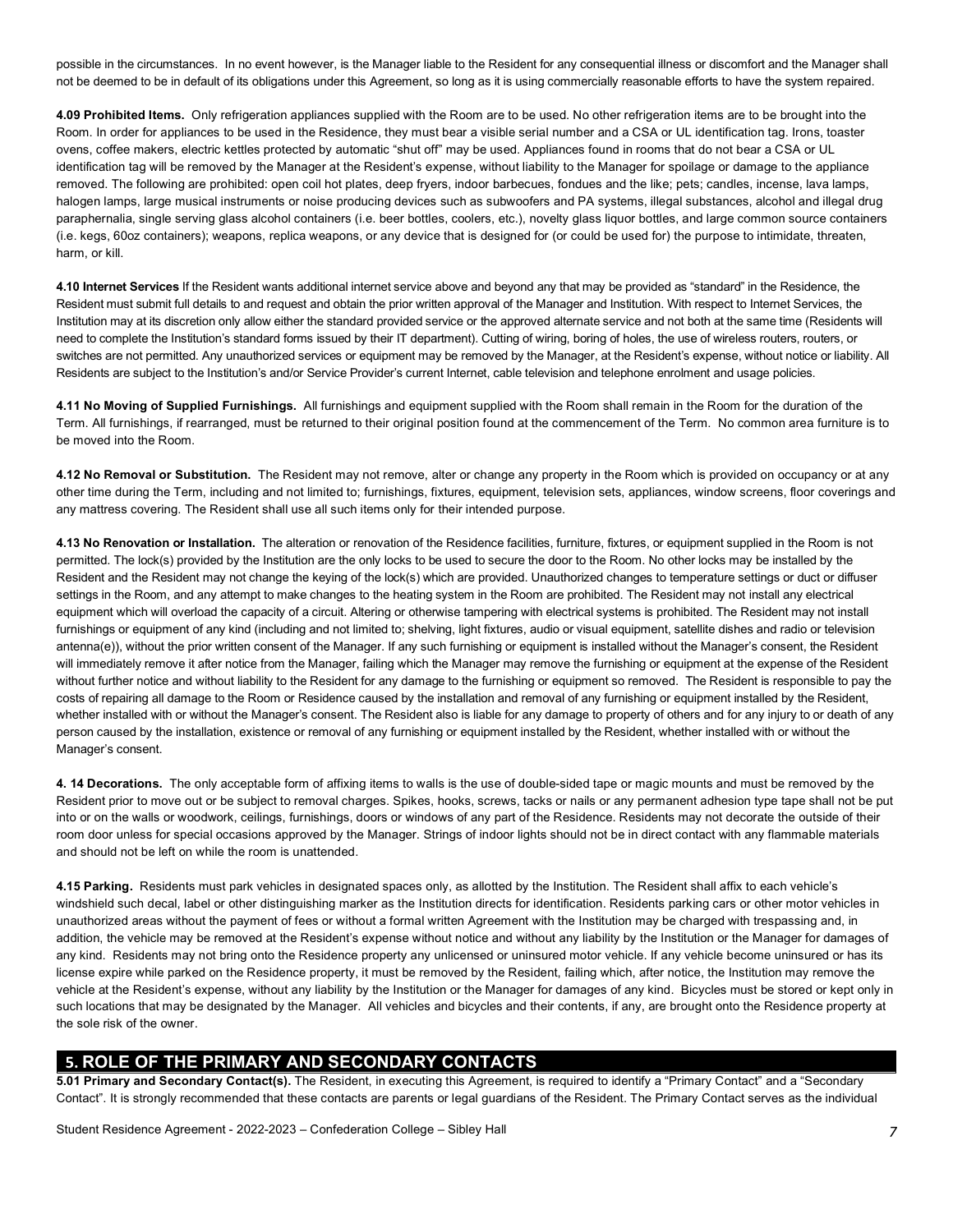possible in the circumstances. In no event however, is the Manager liable to the Resident for any consequential illness or discomfort and the Manager shall not be deemed to be in default of its obligations under this Agreement, so long as it is using commercially reasonable efforts to have the system repaired.

 **4.09 Prohibited Items.** Only refrigeration appliances supplied with the Room are to be used. No other refrigeration items are to be brought into the Room. In order for appliances to be used in the Residence, they must bear a visible serial number and a CSA or UL identification tag. Irons, toaster ovens, coffee makers, electric kettles protected by automatic "shut off" may be used. Appliances found in rooms that do not bear a CSA or UL identification tag will be removed by the Manager at the Resident's expense, without liability to the Manager for spoilage or damage to the appliance removed. The following are prohibited: open coil hot plates, deep fryers, indoor barbecues, fondues and the like; pets; candles, incense, lava lamps, halogen lamps, large musical instruments or noise producing devices such as subwoofers and PA systems, illegal substances, alcohol and illegal drug paraphernalia, single serving glass alcohol containers (i.e. beer bottles, coolers, etc.), novelty glass liquor bottles, and large common source containers (i.e. kegs, 60oz containers); weapons, replica weapons, or any device that is designed for (or could be used for) the purpose to intimidate, threaten, harm, or kill.

 Resident must submit full details to and request and obtain the prior written approval of the Manager and Institution. With respect to Internet Services, the Institution may at its discretion only allow either the standard provided service or the approved alternate service and not both at the same time (Residents will need to complete the Institution's standard forms issued by their IT department). Cutting of wiring, boring of holes, the use of wireless routers, routers, or switches are not permitted. Any unauthorized services or equipment may be removed by the Manager, at the Resident's expense, without notice or liability. All Residents are subject to the Institution's and/or Service Provider's current Internet, cable television and telephone enrolment and usage policies. **4.10 Internet Services** If the Resident wants additional internet service above and beyond any that may be provided as "standard" in the Residence, the

 **4.11 No Moving of Supplied Furnishings.** All furnishings and equipment supplied with the Room shall remain in the Room for the duration of the Term. All furnishings, if rearranged, must be returned to their original position found at the commencement of the Term. No common area furniture is to be moved into the Room.

 **4.12 No Removal or Substitution.** The Resident may not remove, alter or change any property in the Room which is provided on occupancy or at any other time during the Term, including and not limited to; furnishings, fixtures, equipment, television sets, appliances, window screens, floor coverings and any mattress covering. The Resident shall use all such items only for their intended purpose.

 **4.13 No Renovation or Installation.** The alteration or renovation of the Residence facilities, furniture, fixtures, or equipment supplied in the Room is not permitted. The lock(s) provided by the Institution are the only locks to be used to secure the door to the Room. No other locks may be installed by the Resident and the Resident may not change the keying of the lock(s) which are provided. Unauthorized changes to temperature settings or duct or diffuser settings in the Room, and any attempt to make changes to the heating system in the Room are prohibited. The Resident may not install any electrical equipment which will overload the capacity of a circuit. Altering or otherwise tampering with electrical systems is prohibited. The Resident may not install furnishings or equipment of any kind (including and not limited to; shelving, light fixtures, audio or visual equipment, satellite dishes and radio or television antenna(e)), without the prior written consent of the Manager. If any such furnishing or equipment is installed without the Manager's consent, the Resident will immediately remove it after notice from the Manager, failing which the Manager may remove the furnishing or equipment at the expense of the Resident without further notice and without liability to the Resident for any damage to the furnishing or equipment so removed. The Resident is responsible to pay the costs of repairing all damage to the Room or Residence caused by the installation and removal of any furnishing or equipment installed by the Resident, whether installed with or without the Manager's consent. The Resident also is liable for any damage to property of others and for any injury to or death of any person caused by the installation, existence or removal of any furnishing or equipment installed by the Resident, whether installed with or without the Manager's consent.

 **4. 14 Decorations.** The only acceptable form of affixing items to walls is the use of double-sided tape or magic mounts and must be removed by the Resident prior to move out or be subject to removal charges. Spikes, hooks, screws, tacks or nails or any permanent adhesion type tape shall not be put into or on the walls or woodwork, ceilings, furnishings, doors or windows of any part of the Residence. Residents may not decorate the outside of their room door unless for special occasions approved by the Manager. Strings of indoor lights should not be in direct contact with any flammable materials and should not be left on while the room is unattended.

 **4.15 Parking.** Residents must park vehicles in designated spaces only, as allotted by the Institution. The Resident shall affix to each vehicle's windshield such decal, label or other distinguishing marker as the Institution directs for identification. Residents parking cars or other motor vehicles in unauthorized areas without the payment of fees or without a formal written Agreement with the Institution may be charged with trespassing and, in addition, the vehicle may be removed at the Resident's expense without notice and without any liability by the Institution or the Manager for damages of any kind. Residents may not bring onto the Residence property any unlicensed or uninsured motor vehicle. If any vehicle become uninsured or has its license expire while parked on the Residence property, it must be removed by the Resident, failing which, after notice, the Institution may remove the vehicle at the Resident's expense, without any liability by the Institution or the Manager for damages of any kind. Bicycles must be stored or kept only in such locations that may be designated by the Manager. All vehicles and bicycles and their contents, if any, are brought onto the Residence property at the sole risk of the owner.

# **5. ROLE OF THE PRIMARY AND SECONDARY CONTACTS**

 **5.01 Primary and Secondary Contact(s).** The Resident, in executing this Agreement, is required to identify a "Primary Contact" and a "Secondary Contact". It is strongly recommended that these contacts are parents or legal guardians of the Resident. The Primary Contact serves as the individual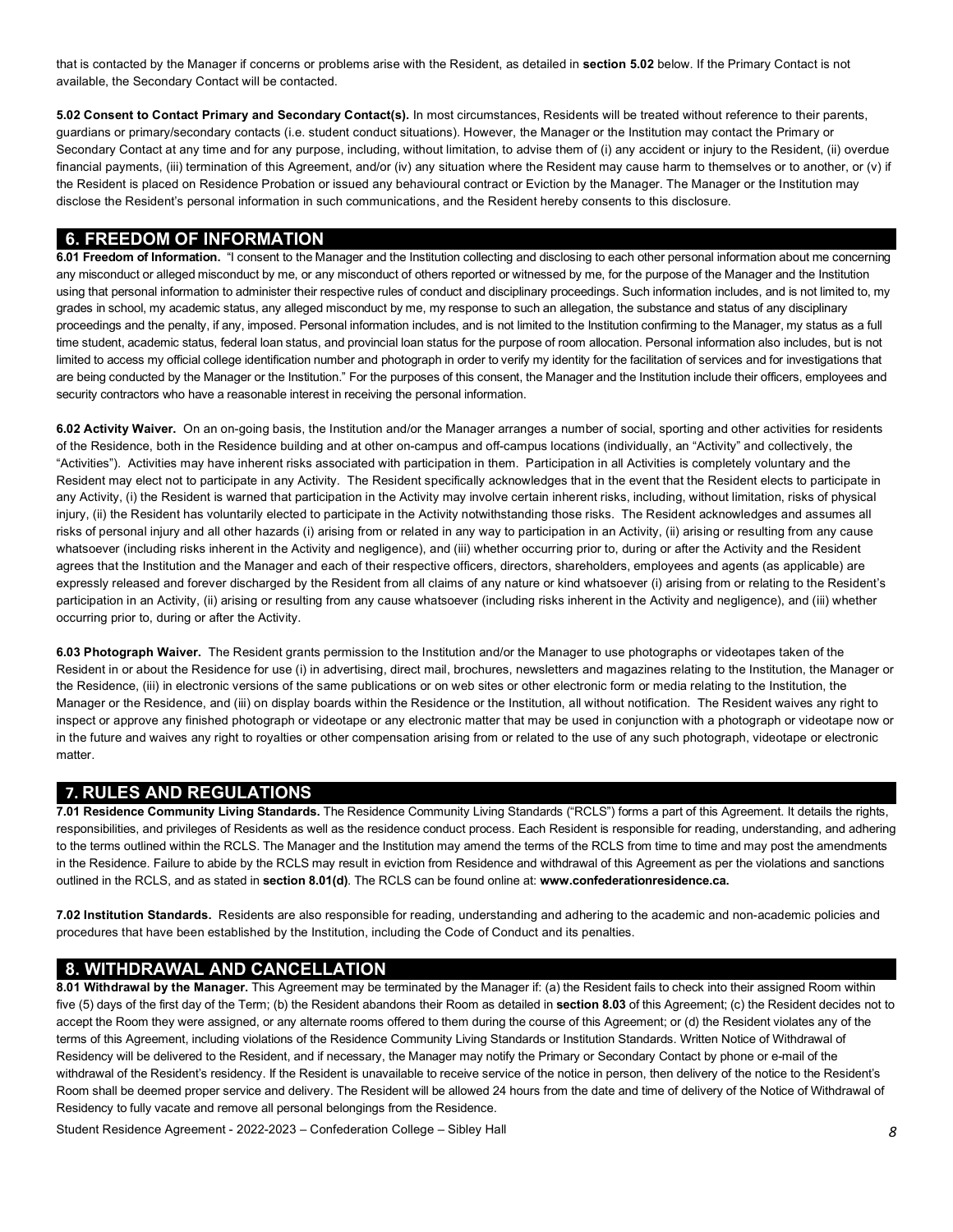that is contacted by the Manager if concerns or problems arise with the Resident, as detailed in **section 5.02** below. If the Primary Contact is not available, the Secondary Contact will be contacted.

 **5.02 Consent to Contact Primary and Secondary Contact(s).** In most circumstances, Residents will be treated without reference to their parents, guardians or primary/secondary contacts (i.e. student conduct situations). However, the Manager or the Institution may contact the Primary or Secondary Contact at any time and for any purpose, including, without limitation, to advise them of (i) any accident or injury to the Resident, (ii) overdue financial payments, (iii) termination of this Agreement, and/or (iv) any situation where the Resident may cause harm to themselves or to another, or (v) if the Resident is placed on Residence Probation or issued any behavioural contract or Eviction by the Manager. The Manager or the Institution may disclose the Resident's personal information in such communications, and the Resident hereby consents to this disclosure.

### **6. FREEDOM OF INFORMATION**

 any misconduct or alleged misconduct by me, or any misconduct of others reported or witnessed by me, for the purpose of the Manager and the Institution using that personal information to administer their respective rules of conduct and disciplinary proceedings. Such information includes, and is not limited to, my grades in school, my academic status, any alleged misconduct by me, my response to such an allegation, the substance and status of any disciplinary proceedings and the penalty, if any, imposed. Personal information includes, and is not limited to the Institution confirming to the Manager, my status as a full time student, academic status, federal loan status, and provincial loan status for the purpose of room allocation. Personal information also includes, but is not limited to access my official college identification number and photograph in order to verify my identity for the facilitation of services and for investigations that are being conducted by the Manager or the Institution." For the purposes of this consent, the Manager and the Institution include their officers, employees and security contractors who have a reasonable interest in receiving the personal information. **6.01 Freedom of Information.** "I consent to the Manager and the Institution collecting and disclosing to each other personal information about me concerning

 **6.02 Activity Waiver.** On an on-going basis, the Institution and/or the Manager arranges a number of social, sporting and other activities for residents of the Residence, both in the Residence building and at other on-campus and off-campus locations (individually, an "Activity" and collectively, the "Activities"). Activities may have inherent risks associated with participation in them. Participation in all Activities is completely voluntary and the Resident may elect not to participate in any Activity. The Resident specifically acknowledges that in the event that the Resident elects to participate in any Activity, (i) the Resident is warned that participation in the Activity may involve certain inherent risks, including, without limitation, risks of physical injury, (ii) the Resident has voluntarily elected to participate in the Activity notwithstanding those risks. The Resident acknowledges and assumes all risks of personal injury and all other hazards (i) arising from or related in any way to participation in an Activity, (ii) arising or resulting from any cause whatsoever (including risks inherent in the Activity and negligence), and (iii) whether occurring prior to, during or after the Activity and the Resident agrees that the Institution and the Manager and each of their respective officers, directors, shareholders, employees and agents (as applicable) are expressly released and forever discharged by the Resident from all claims of any nature or kind whatsoever (i) arising from or relating to the Resident's participation in an Activity, (ii) arising or resulting from any cause whatsoever (including risks inherent in the Activity and negligence), and (iii) whether occurring prior to, during or after the Activity.

 **6.03 Photograph Waiver.** The Resident grants permission to the Institution and/or the Manager to use photographs or videotapes taken of the Resident in or about the Residence for use (i) in advertising, direct mail, brochures, newsletters and magazines relating to the Institution, the Manager or the Residence, (iii) in electronic versions of the same publications or on web sites or other electronic form or media relating to the Institution, the Manager or the Residence, and (iii) on display boards within the Residence or the Institution, all without notification. The Resident waives any right to inspect or approve any finished photograph or videotape or any electronic matter that may be used in conjunction with a photograph or videotape now or in the future and waives any right to royalties or other compensation arising from or related to the use of any such photograph, videotape or electronic matter.

## **7. RULES AND REGULATIONS**

 responsibilities, and privileges of Residents as well as the residence conduct process. Each Resident is responsible for reading, understanding, and adhering to the terms outlined within the RCLS. The Manager and the Institution may amend the terms of the RCLS from time to time and may post the amendments in the Residence. Failure to abide by the RCLS may result in eviction from Residence and withdrawal of this Agreement as per the violations and sanctions outlined in the RCLS, and as stated in **section 8.01(d)**. The RCLS can be found online at: **[www.confederationresidence.ca.](www.confederationresidence.ca) 7.01 Residence Community Living Standards.** The Residence Community Living Standards ("RCLS") forms a part of this Agreement. It details the rights,

 **7.02 Institution Standards.** Residents are also responsible for reading, understanding and adhering to the academic and non-academic policies and procedures that have been established by the Institution, including the Code of Conduct and its penalties.

## **8. WITHDRAWAL AND CANCELLATION**

 **8.01 Withdrawal by the Manager.** This Agreement may be terminated by the Manager if: (a) the Resident fails to check into their assigned Room within five (5) days of the first day of the Term; (b) the Resident abandons their Room as detailed in **section 8.03** of this Agreement; (c) the Resident decides not to accept the Room they were assigned, or any alternate rooms offered to them during the course of this Agreement; or (d) the Resident violates any of the terms of this Agreement, including violations of the Residence Community Living Standards or Institution Standards. Written Notice of Withdrawal of Residency will be delivered to the Resident, and if necessary, the Manager may notify the Primary or Secondary Contact by phone or e-mail of the withdrawal of the Resident's residency. If the Resident is unavailable to receive service of the notice in person, then delivery of the notice to the Resident's Room shall be deemed proper service and delivery. The Resident will be allowed 24 hours from the date and time of delivery of the Notice of Withdrawal of Residency to fully vacate and remove all personal belongings from the Residence.

Student Residence Agreement - 2022-2023 – Confederation College – Sibley Hall *8*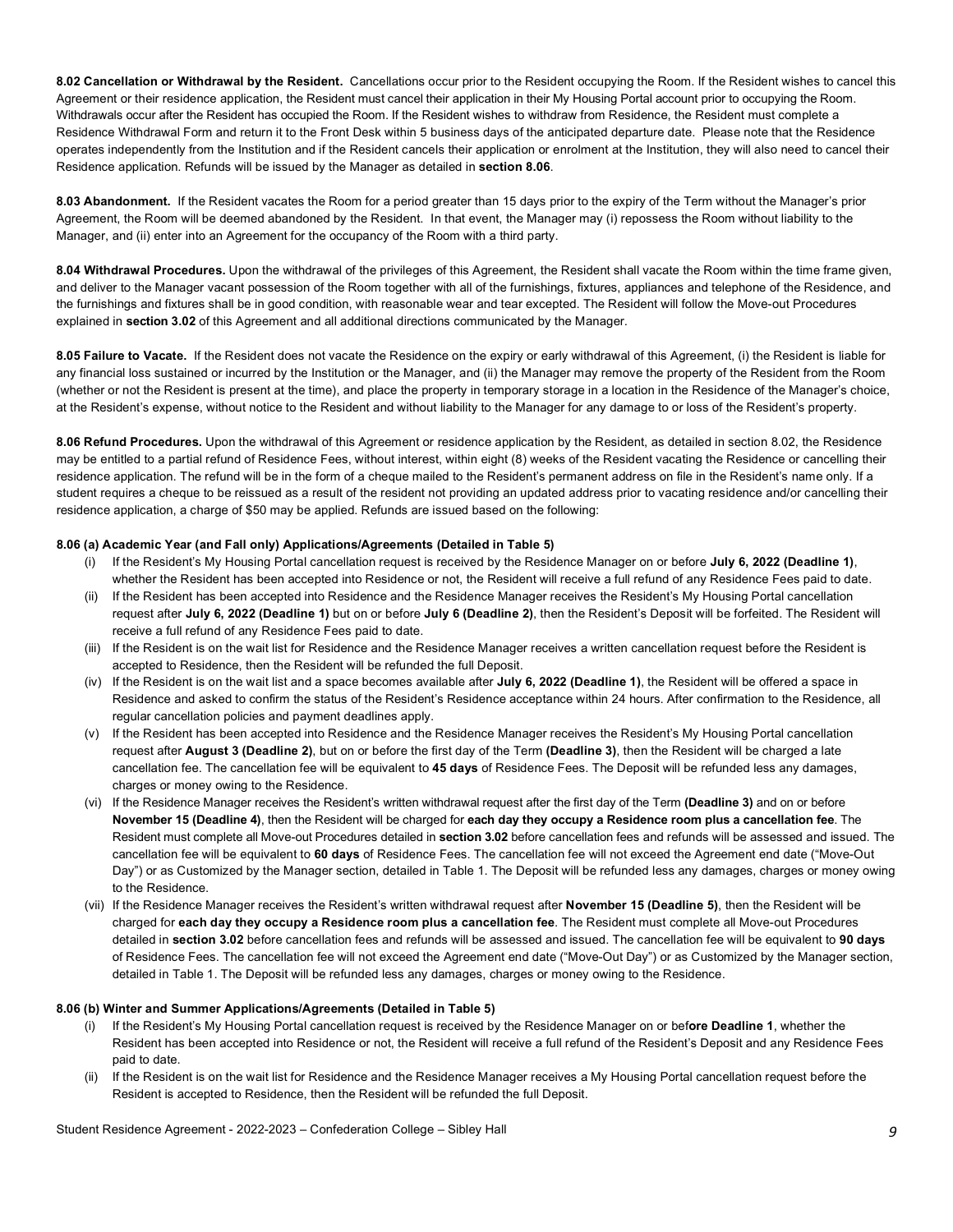**8.02 Cancellation or Withdrawal by the Resident.** Cancellations occur prior to the Resident occupying the Room. If the Resident wishes to cancel this Agreement or their residence application, the Resident must cancel their application in their My Housing Portal account prior to occupying the Room. Withdrawals occur after the Resident has occupied the Room. If the Resident wishes to withdraw from Residence, the Resident must complete a Residence Withdrawal Form and return it to the Front Desk within 5 business days of the anticipated departure date. Please note that the Residence operates independently from the Institution and if the Resident cancels their application or enrolment at the Institution, they will also need to cancel their Residence application. Refunds will be issued by the Manager as detailed in **section 8.06**.

 **8.03 Abandonment.** If the Resident vacates the Room for a period greater than 15 days prior to the expiry of the Term without the Manager's prior Agreement, the Room will be deemed abandoned by the Resident. In that event, the Manager may (i) repossess the Room without liability to the Manager, and (ii) enter into an Agreement for the occupancy of the Room with a third party.

 **8.04 Withdrawal Procedures.** Upon the withdrawal of the privileges of this Agreement, the Resident shall vacate the Room within the time frame given, and deliver to the Manager vacant possession of the Room together with all of the furnishings, fixtures, appliances and telephone of the Residence, and explained in **section 3.02** of this Agreement and all additional directions communicated by the Manager. the furnishings and fixtures shall be in good condition, with reasonable wear and tear excepted. The Resident will follow the Move-out Procedures

 **8.05 Failure to Vacate.** If the Resident does not vacate the Residence on the expiry or early withdrawal of this Agreement, (i) the Resident is liable for any financial loss sustained or incurred by the Institution or the Manager, and (ii) the Manager may remove the property of the Resident from the Room (whether or not the Resident is present at the time), and place the property in temporary storage in a location in the Residence of the Manager's choice, at the Resident's expense, without notice to the Resident and without liability to the Manager for any damage to or loss of the Resident's property.

 **8.06 Refund Procedures.** Upon the withdrawal of this Agreement or residence application by the Resident, as detailed in section 8.02, the Residence may be entitled to a partial refund of Residence Fees, without interest, within eight (8) weeks of the Resident vacating the Residence or cancelling their residence application. The refund will be in the form of a cheque mailed to the Resident's permanent address on file in the Resident's name only. If a student requires a cheque to be reissued as a result of the resident not providing an updated address prior to vacating residence and/or cancelling their residence application, a charge of \$50 may be applied. Refunds are issued based on the following:

#### **8.06 (a) Academic Year (and Fall only) Applications/Agreements (Detailed in Table 5)**

- (i) If the Resident's My Housing Portal cancellation request is received by the Residence Manager on or before **July 6, 2022 (Deadline 1)**, whether the Resident has been accepted into Residence or not, the Resident will receive a full refund of any Residence Fees paid to date.
- (ii) If the Resident has been accepted into Residence and the Residence Manager receives the Resident's My Housing Portal cancellation request after **July 6, 2022 (Deadline 1)** but on or before **July 6 (Deadline 2)**, then the Resident's Deposit will be forfeited. The Resident will receive a full refund of any Residence Fees paid to date.
- (iii) If the Resident is on the wait list for Residence and the Residence Manager receives a written cancellation request before the Resident is accepted to Residence, then the Resident will be refunded the full Deposit.
- (iv) If the Resident is on the wait list and a space becomes available after **July 6, 2022 (Deadline 1)**, the Resident will be offered a space in Residence and asked to confirm the status of the Resident's Residence acceptance within 24 hours. After confirmation to the Residence, all regular cancellation policies and payment deadlines apply.
- request after **August 3 (Deadline 2)**, but on or before the first day of the Term **(Deadline 3)**, then the Resident will be charged a late cancellation fee. The cancellation fee will be equivalent to **45 days** of Residence Fees. The Deposit will be refunded less any damages, charges or money owing to the Residence. (v) If the Resident has been accepted into Residence and the Residence Manager receives the Resident's My Housing Portal cancellation
- (vi) If the Residence Manager receives the Resident's written withdrawal request after the first day of the Term **(Deadline 3)** and on or before  **November 15 (Deadline 4)**, then the Resident will be charged for **each day they occupy a Residence room plus a cancellation fee**. The Resident must complete all Move-out Procedures detailed in **section 3.02** before cancellation fees and refunds will be assessed and issued. The cancellation fee will be equivalent to **60 days** of Residence Fees. The cancellation fee will not exceed the Agreement end date ("Move-Out Day") or as Customized by the Manager section, detailed in Table 1. The Deposit will be refunded less any damages, charges or money owing to the Residence.
- (vii) If the Residence Manager receives the Resident's written withdrawal request after **November 15 (Deadline 5)**, then the Resident will be charged for **each day they occupy a Residence room plus a cancellation fee**. The Resident must complete all Move-out Procedures detailed in **section 3.02** before cancellation fees and refunds will be assessed and issued. The cancellation fee will be equivalent to **90 days**  of Residence Fees. The cancellation fee will not exceed the Agreement end date ("Move-Out Day") or as Customized by the Manager section, detailed in Table 1. The Deposit will be refunded less any damages, charges or money owing to the Residence.

#### **8.06 (b) Winter and Summer Applications/Agreements (Detailed in Table 5)**

- (i) If the Resident's My Housing Portal cancellation request is received by the Residence Manager on or bef**ore Deadline 1**, whether the Resident has been accepted into Residence or not, the Resident will receive a full refund of the Resident's Deposit and any Residence Fees paid to date.
- (ii) If the Resident is on the wait list for Residence and the Residence Manager receives a My Housing Portal cancellation request before the Resident is accepted to Residence, then the Resident will be refunded the full Deposit.

Student Residence Agreement - 2022-2023 – Confederation College – Sibley Hall *9*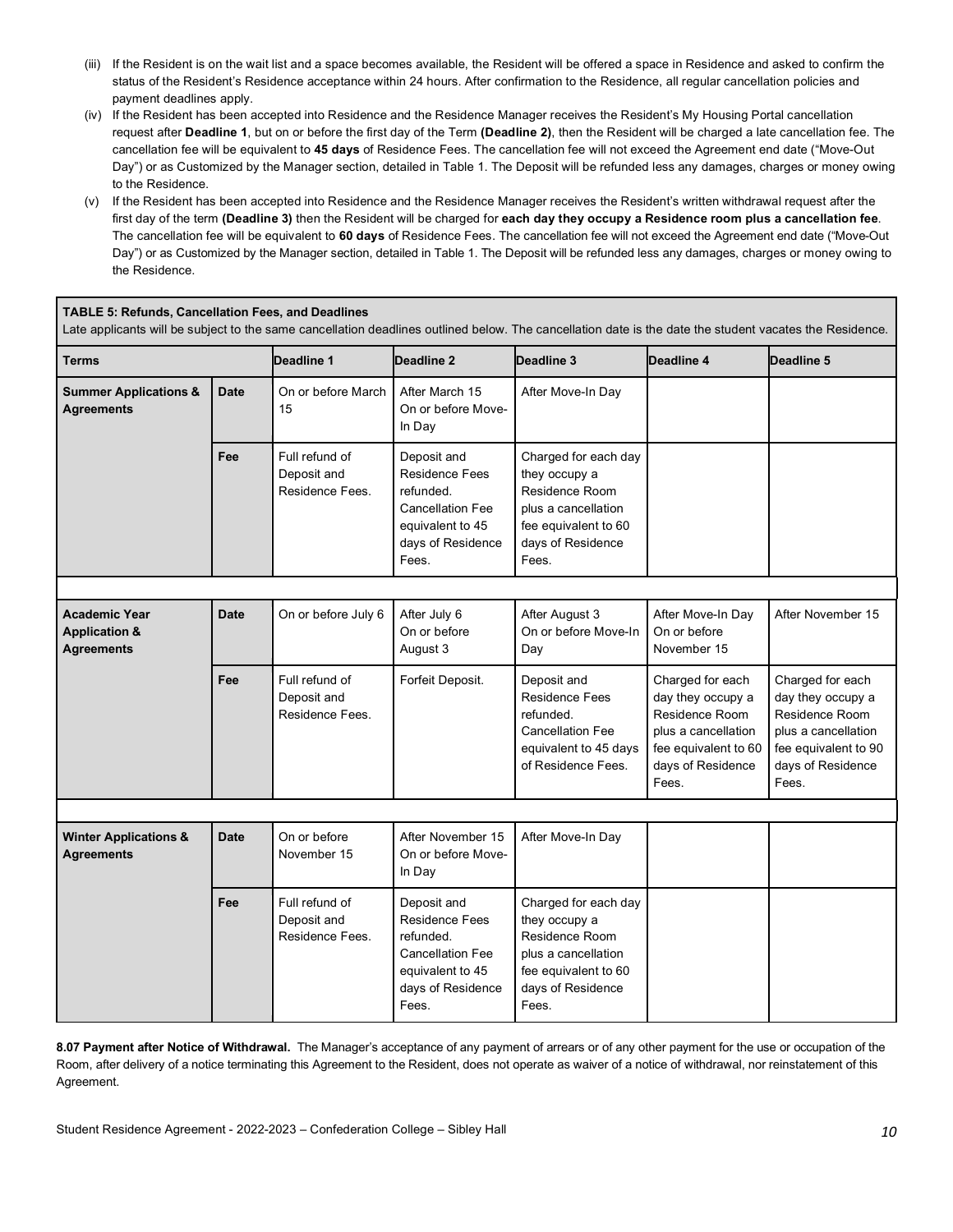- (iii) If the Resident is on the wait list and a space becomes available, the Resident will be offered a space in Residence and asked to confirm the status of the Resident's Residence acceptance within 24 hours. After confirmation to the Residence, all regular cancellation policies and payment deadlines apply.
- request after **Deadline 1**, but on or before the first day of the Term **(Deadline 2)**, then the Resident will be charged a late cancellation fee. The cancellation fee will be equivalent to **45 days** of Residence Fees. The cancellation fee will not exceed the Agreement end date ("Move-Out Day") or as Customized by the Manager section, detailed in Table 1. The Deposit will be refunded less any damages, charges or money owing (iv) If the Resident has been accepted into Residence and the Residence Manager receives the Resident's My Housing Portal cancellation to the Residence.
- (v) If the Resident has been accepted into Residence and the Residence Manager receives the Resident's written withdrawal request after the The cancellation fee will be equivalent to **60 days** of Residence Fees. The cancellation fee will not exceed the Agreement end date ("Move-Out Day") or as Customized by the Manager section, detailed in Table 1. The Deposit will be refunded less any damages, charges or money owing to first day of the term **(Deadline 3)** then the Resident will be charged for **each day they occupy a Residence room plus a cancellation fee**. the Residence.

#### **TABLE 5: Refunds, Cancellation Fees, and Deadlines**

Late applicants will be subject to the same cancellation deadlines outlined below. The cancellation date is the date the student vacates the Residence.

| Terms                                                                 |             | Deadline 1                                       | Deadline 2                                                                                                                     | Deadline 3                                                                                                                           | Deadline 4                                                                                                                           | Deadline 5                                                                                                                           |
|-----------------------------------------------------------------------|-------------|--------------------------------------------------|--------------------------------------------------------------------------------------------------------------------------------|--------------------------------------------------------------------------------------------------------------------------------------|--------------------------------------------------------------------------------------------------------------------------------------|--------------------------------------------------------------------------------------------------------------------------------------|
| <b>Summer Applications &amp;</b><br><b>Agreements</b>                 | <b>Date</b> | On or before March<br>15                         | After March 15<br>On or before Move-<br>In Day                                                                                 | After Move-In Day                                                                                                                    |                                                                                                                                      |                                                                                                                                      |
|                                                                       | Fee         | Full refund of<br>Deposit and<br>Residence Fees. | Deposit and<br><b>Residence Fees</b><br>refunded.<br><b>Cancellation Fee</b><br>equivalent to 45<br>days of Residence<br>Fees. | Charged for each day<br>they occupy a<br>Residence Room<br>plus a cancellation<br>fee equivalent to 60<br>days of Residence<br>Fees. |                                                                                                                                      |                                                                                                                                      |
|                                                                       |             |                                                  |                                                                                                                                |                                                                                                                                      |                                                                                                                                      |                                                                                                                                      |
| <b>Academic Year</b><br><b>Application &amp;</b><br><b>Agreements</b> | <b>Date</b> | On or before July 6                              | After July 6<br>On or before<br>August 3                                                                                       | After August 3<br>On or before Move-In<br>Day                                                                                        | After Move-In Day<br>On or before<br>November 15                                                                                     | After November 15                                                                                                                    |
|                                                                       | Fee         | Full refund of<br>Deposit and<br>Residence Fees. | Forfeit Deposit.                                                                                                               | Deposit and<br><b>Residence Fees</b><br>refunded.<br><b>Cancellation Fee</b><br>equivalent to 45 days<br>of Residence Fees.          | Charged for each<br>day they occupy a<br>Residence Room<br>plus a cancellation<br>fee equivalent to 60<br>days of Residence<br>Fees. | Charged for each<br>day they occupy a<br>Residence Room<br>plus a cancellation<br>fee equivalent to 90<br>days of Residence<br>Fees. |
|                                                                       |             |                                                  |                                                                                                                                |                                                                                                                                      |                                                                                                                                      |                                                                                                                                      |
| <b>Winter Applications &amp;</b><br><b>Agreements</b>                 | <b>Date</b> | On or before<br>November 15                      | After November 15<br>On or before Move-<br>In Day                                                                              | After Move-In Day                                                                                                                    |                                                                                                                                      |                                                                                                                                      |
|                                                                       | Fee         | Full refund of<br>Deposit and<br>Residence Fees. | Deposit and<br><b>Residence Fees</b><br>refunded.<br><b>Cancellation Fee</b><br>equivalent to 45<br>days of Residence<br>Fees. | Charged for each day<br>they occupy a<br>Residence Room<br>plus a cancellation<br>fee equivalent to 60<br>days of Residence<br>Fees. |                                                                                                                                      |                                                                                                                                      |

 **8.07 Payment after Notice of Withdrawal.** The Manager's acceptance of any payment of arrears or of any other payment for the use or occupation of the Room, after delivery of a notice terminating this Agreement to the Resident, does not operate as waiver of a notice of withdrawal, nor reinstatement of this Agreement.